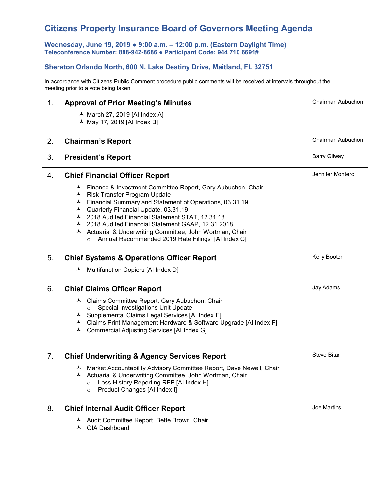# **Citizens Property Insurance Board of Governors Meeting Agenda**

**Wednesday, June 19, 2019 ● 9:00 a.m. – 12:00 p.m. (Eastern Daylight Time) Teleconference Number: 888-942-8686 ● Participant Code: 944 710 6691#** 

# **Sheraton Orlando North, 600 N. Lake Destiny Drive, Maitland, FL 32751**

In accordance with Citizens Public Comment procedure public comments will be received at intervals throughout the meeting prior to a vote being taken.

# 1. **Approval of Prior Meeting's Minutes**

- $\blacktriangle$  March 27, 2019 [AI Index A]
- $\blacktriangle$  May 17, 2019 [AI Index B]

# 2. **Chairman's Report Chairman's Report Chairman Aubuchon**

# 3. **President's Report Barry Gilway**

### 4. **Chief Financial Officer Report**

- Finance & Investment Committee Report, Gary Aubuchon, Chair
- ▲ Risk Transfer Program Update
- Financial Summary and Statement of Operations, 03.31.19
- Quarterly Financial Update, 03.31.19
- 2018 Audited Financial Statement STAT, 12.31.18
- 2018 Audited Financial Statement GAAP, 12.31.2018
- A Actuarial & Underwriting Committee, John Wortman, Chair
	- o Annual Recommended 2019 Rate Filings [AI Index C]

# 5. **Chief Systems & Operations Officer Report**

 $\blacktriangle$  Multifunction Copiers [AI Index D]

### 6. **Chief Claims Officer Report**

- Claims Committee Report, Gary Aubuchon, Chair o Special Investigations Unit Update
- $\lambda$  Supplemental Claims Legal Services [AI Index E]
- Claims Print Management Hardware & Software Upgrade [AI Index F]
- Commercial Adjusting Services [AI Index G]

# 7. **Chief Underwriting & Agency Services Report**

- A Market Accountability Advisory Committee Report, Dave Newell, Chair
- Actuarial & Underwriting Committee, John Wortman, Chair
	- o Loss History Reporting RFP [AI Index H]
	- o Product Changes [AI Index I]
- 8. **Chief Internal Audit Officer Report**
	- ▲ Audit Committee Report, Bette Brown, Chair
	- ▲ OIA Dashboard

Joe Martins

Steve Bitar

Jennifer Montero

Kelly Booten

Jay Adams

Chairman Aubuchon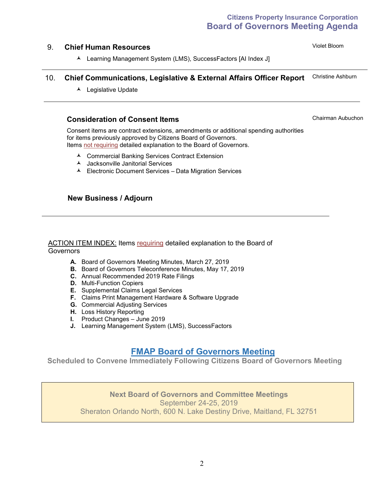# **Citizens Property Insurance Corporation Board of Governors Meeting Agenda**

# 9. **Chief Human Resources**

Violet Bloom

Learning Management System (LMS), SuccessFactors [AI Index J]

#### 10. **Chief Communications, Legislative & External Affairs Officer Report** Christine Ashburn

▲ Legislative Update

# **Consideration of Consent Items**

Chairman Aubuchon

Consent items are contract extensions, amendments or additional spending authorities for items previously approved by Citizens Board of Governors. Items not requiring detailed explanation to the Board of Governors.

- Commercial Banking Services Contract Extension
- Jacksonville Janitorial Services
- Electronic Document Services Data Migration Services

# **New Business / Adjourn**

#### ACTION ITEM INDEX: Items requiring detailed explanation to the Board of **Governors**

- **A.** Board of Governors Meeting Minutes, March 27, 2019
- **B.** Board of Governors Teleconference Minutes, May 17, 2019
- **C.** Annual Recommended 2019 Rate Filings
- **D.** Multi-Function Copiers
- **E.** Supplemental Claims Legal Services
- **F.** Claims Print Management Hardware & Software Upgrade
- **G.** Commercial Adjusting Services
- **H.** Loss History Reporting
- **I.** Product Changes June 2019
- **J.** Learning Management System (LMS), SuccessFactors

# **FMAP Board of Governors Meeting**

**Scheduled to Convene Immediately Following Citizens Board of Governors Meeting**

# **Next Board of Governors and Committee Meetings** September 24-25, 2019 Sheraton Orlando North, 600 N. Lake Destiny Drive, Maitland, FL 32751